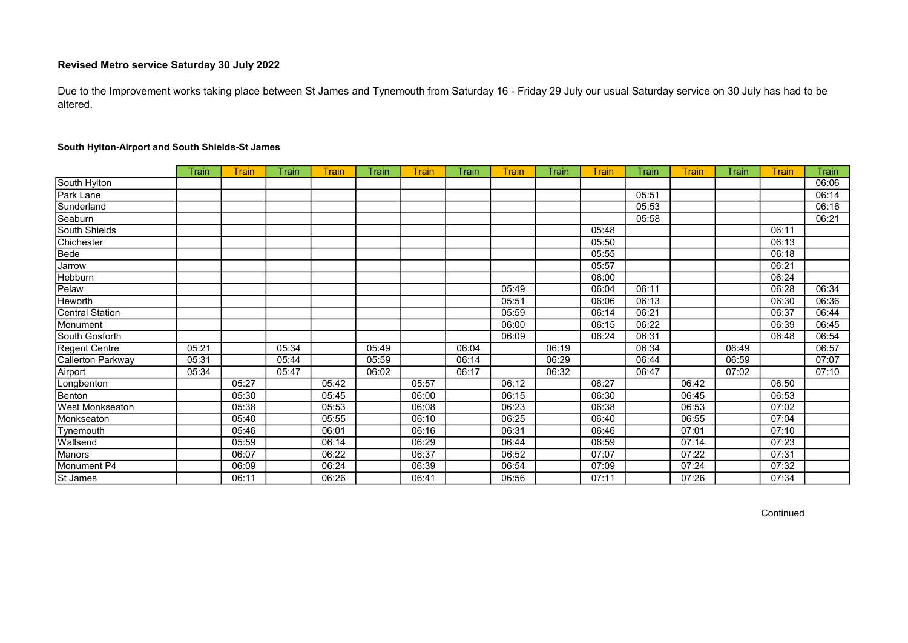Due to the Improvement works taking place between St James and Tynemouth from Saturday 16 - Friday 29 July our usual Saturday service on 30 July has had to be altered.

|                        | Train | <b>Train</b> | Train | <b>Train</b> | Train | <b>Train</b> | Train | <b>Train</b> | Train | <b>Train</b> | Train | <b>Train</b> | Train | Train | Train |
|------------------------|-------|--------------|-------|--------------|-------|--------------|-------|--------------|-------|--------------|-------|--------------|-------|-------|-------|
| South Hylton           |       |              |       |              |       |              |       |              |       |              |       |              |       |       | 06:06 |
| Park Lane              |       |              |       |              |       |              |       |              |       |              | 05:51 |              |       |       | 06:14 |
| Sunderland             |       |              |       |              |       |              |       |              |       |              | 05:53 |              |       |       | 06:16 |
| Seaburn                |       |              |       |              |       |              |       |              |       |              | 05:58 |              |       |       | 06:21 |
| South Shields          |       |              |       |              |       |              |       |              |       | 05:48        |       |              |       | 06:11 |       |
| Chichester             |       |              |       |              |       |              |       |              |       | 05:50        |       |              |       | 06:13 |       |
| Bede                   |       |              |       |              |       |              |       |              |       | 05:55        |       |              |       | 06:18 |       |
| Jarrow                 |       |              |       |              |       |              |       |              |       | 05:57        |       |              |       | 06:21 |       |
| Hebburn                |       |              |       |              |       |              |       |              |       | 06:00        |       |              |       | 06:24 |       |
| Pelaw                  |       |              |       |              |       |              |       | 05:49        |       | 06:04        | 06:11 |              |       | 06:28 | 06:34 |
| <b>Heworth</b>         |       |              |       |              |       |              |       | 05:51        |       | 06:06        | 06:13 |              |       | 06:30 | 06:36 |
| <b>Central Station</b> |       |              |       |              |       |              |       | 05:59        |       | 06:14        | 06:21 |              |       | 06:37 | 06:44 |
| Monument               |       |              |       |              |       |              |       | 06:00        |       | 06:15        | 06:22 |              |       | 06:39 | 06:45 |
| South Gosforth         |       |              |       |              |       |              |       | 06:09        |       | 06:24        | 06:31 |              |       | 06:48 | 06:54 |
| Regent Centre          | 05:21 |              | 05:34 |              | 05:49 |              | 06:04 |              | 06:19 |              | 06:34 |              | 06:49 |       | 06:57 |
| Callerton Parkway      | 05:31 |              | 05:44 |              | 05:59 |              | 06:14 |              | 06:29 |              | 06:44 |              | 06:59 |       | 07:07 |
| Airport                | 05:34 |              | 05:47 |              | 06:02 |              | 06:17 |              | 06:32 |              | 06:47 |              | 07:02 |       | 07:10 |
| Longbenton             |       | 05:27        |       | 05:42        |       | 05:57        |       | 06:12        |       | 06:27        |       | 06:42        |       | 06:50 |       |
| Benton                 |       | 05:30        |       | 05:45        |       | 06:00        |       | 06:15        |       | 06:30        |       | 06:45        |       | 06:53 |       |
| West Monkseaton        |       | 05:38        |       | 05:53        |       | 06:08        |       | 06:23        |       | 06:38        |       | 06:53        |       | 07:02 |       |
| Monkseaton             |       | 05:40        |       | 05:55        |       | 06:10        |       | 06:25        |       | 06:40        |       | 06:55        |       | 07:04 |       |
| Tynemouth              |       | 05:46        |       | 06:01        |       | 06:16        |       | 06:31        |       | 06:46        |       | 07:01        |       | 07:10 |       |
| Wallsend               |       | 05:59        |       | 06:14        |       | 06:29        |       | 06:44        |       | 06:59        |       | 07:14        |       | 07:23 |       |
| Manors                 |       | 06:07        |       | 06:22        |       | 06:37        |       | 06:52        |       | 07:07        |       | 07:22        |       | 07:31 |       |
| Monument P4            |       | 06:09        |       | 06:24        |       | 06:39        |       | 06:54        |       | 07:09        |       | 07:24        |       | 07:32 |       |
| St James               |       | 06:11        |       | 06:26        |       | 06:41        |       | 06:56        |       | 07:11        |       | 07:26        |       | 07:34 |       |

#### South Hylton-Airport and South Shields-St James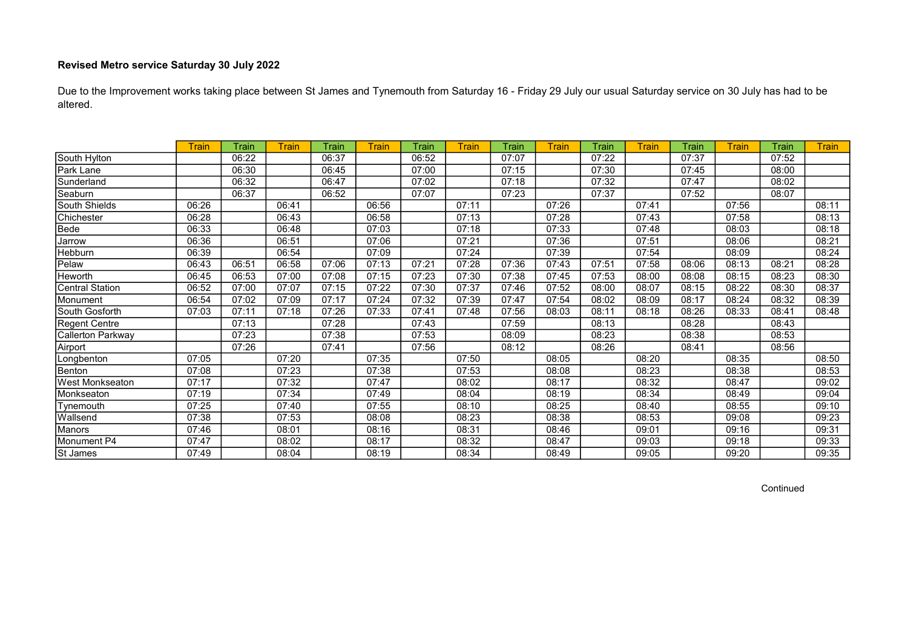Due to the Improvement works taking place between St James and Tynemouth from Saturday 16 - Friday 29 July our usual Saturday service on 30 July has had to be altered.

|                        | <b>Train</b> | Train | Train | Train | Train | Train | Train | Train | <b>Train</b> | Train | <b>Train</b> | Train | Train | Train | <b>Train</b> |
|------------------------|--------------|-------|-------|-------|-------|-------|-------|-------|--------------|-------|--------------|-------|-------|-------|--------------|
| South Hylton           |              | 06:22 |       | 06:37 |       | 06:52 |       | 07:07 |              | 07:22 |              | 07:37 |       | 07:52 |              |
| Park Lane              |              | 06:30 |       | 06:45 |       | 07:00 |       | 07:15 |              | 07:30 |              | 07:45 |       | 08:00 |              |
| Sunderland             |              | 06:32 |       | 06:47 |       | 07:02 |       | 07:18 |              | 07:32 |              | 07:47 |       | 08:02 |              |
| Seaburn                |              | 06:37 |       | 06:52 |       | 07:07 |       | 07:23 |              | 07:37 |              | 07:52 |       | 08:07 |              |
| South Shields          | 06:26        |       | 06:41 |       | 06:56 |       | 07:11 |       | 07:26        |       | 07:41        |       | 07:56 |       | 08:11        |
| Chichester             | 06:28        |       | 06:43 |       | 06:58 |       | 07:13 |       | 07:28        |       | 07:43        |       | 07:58 |       | 08:13        |
| Bede                   | 06:33        |       | 06:48 |       | 07:03 |       | 07:18 |       | 07:33        |       | 07:48        |       | 08:03 |       | 08:18        |
| Jarrow                 | 06:36        |       | 06:51 |       | 07:06 |       | 07:21 |       | 07:36        |       | 07:51        |       | 08:06 |       | 08:21        |
| Hebburn                | 06:39        |       | 06:54 |       | 07:09 |       | 07:24 |       | 07:39        |       | 07:54        |       | 08:09 |       | 08:24        |
| Pelaw                  | 06.43        | 06:51 | 06:58 | 07:06 | 07:13 | 07:21 | 07:28 | 07:36 | 07:43        | 07:51 | 07:58        | 08:06 | 08:13 | 08:21 | 08:28        |
| Heworth                | 06:45        | 06:53 | 07:00 | 07:08 | 07:15 | 07:23 | 07:30 | 07:38 | 07:45        | 07:53 | 08:00        | 08:08 | 08:15 | 08:23 | 08:30        |
| <b>Central Station</b> | 06:52        | 07:00 | 07:07 | 07:15 | 07:22 | 07:30 | 07:37 | 07:46 | 07:52        | 08:00 | 08:07        | 08:15 | 08:22 | 08:30 | 08:37        |
| Monument               | 06:54        | 07:02 | 07:09 | 07:17 | 07:24 | 07:32 | 07:39 | 07:47 | 07:54        | 08:02 | 08:09        | 08:17 | 08:24 | 08:32 | 08:39        |
| South Gosforth         | 07:03        | 07:11 | 07:18 | 07:26 | 07:33 | 07:41 | 07:48 | 07:56 | 08:03        | 08:11 | 08:18        | 08:26 | 08:33 | 08:41 | 08:48        |
| Regent Centre          |              | 07:13 |       | 07:28 |       | 07:43 |       | 07:59 |              | 08:13 |              | 08:28 |       | 08:43 |              |
| Callerton Parkway      |              | 07:23 |       | 07:38 |       | 07:53 |       | 08:09 |              | 08:23 |              | 08:38 |       | 08:53 |              |
| Airport                |              | 07:26 |       | 07:41 |       | 07:56 |       | 08:12 |              | 08:26 |              | 08:41 |       | 08:56 |              |
| Longbenton             | 07:05        |       | 07:20 |       | 07:35 |       | 07:50 |       | 08:05        |       | 08:20        |       | 08:35 |       | 08:50        |
| Benton                 | 07:08        |       | 07:23 |       | 07:38 |       | 07:53 |       | 08:08        |       | 08:23        |       | 08:38 |       | 08:53        |
| <b>West Monkseaton</b> | 07:17        |       | 07:32 |       | 07:47 |       | 08:02 |       | 08:17        |       | 08:32        |       | 08:47 |       | 09:02        |
| Monkseaton             | 07:19        |       | 07:34 |       | 07:49 |       | 08:04 |       | 08:19        |       | 08:34        |       | 08:49 |       | 09:04        |
| Tynemouth              | 07:25        |       | 07:40 |       | 07:55 |       | 08:10 |       | 08:25        |       | 08:40        |       | 08:55 |       | 09:10        |
| Wallsend               | 07:38        |       | 07:53 |       | 08:08 |       | 08:23 |       | 08:38        |       | 08:53        |       | 09:08 |       | 09:23        |
| Manors                 | 07:46        |       | 08:01 |       | 08:16 |       | 08:31 |       | 08:46        |       | 09:01        |       | 09:16 |       | 09:31        |
| Monument P4            | 07:47        |       | 08:02 |       | 08:17 |       | 08:32 |       | 08:47        |       | 09:03        |       | 09:18 |       | 09:33        |
| St James               | 07:49        |       | 08:04 |       | 08:19 |       | 08:34 |       | 08:49        |       | 09:05        |       | 09:20 |       | 09:35        |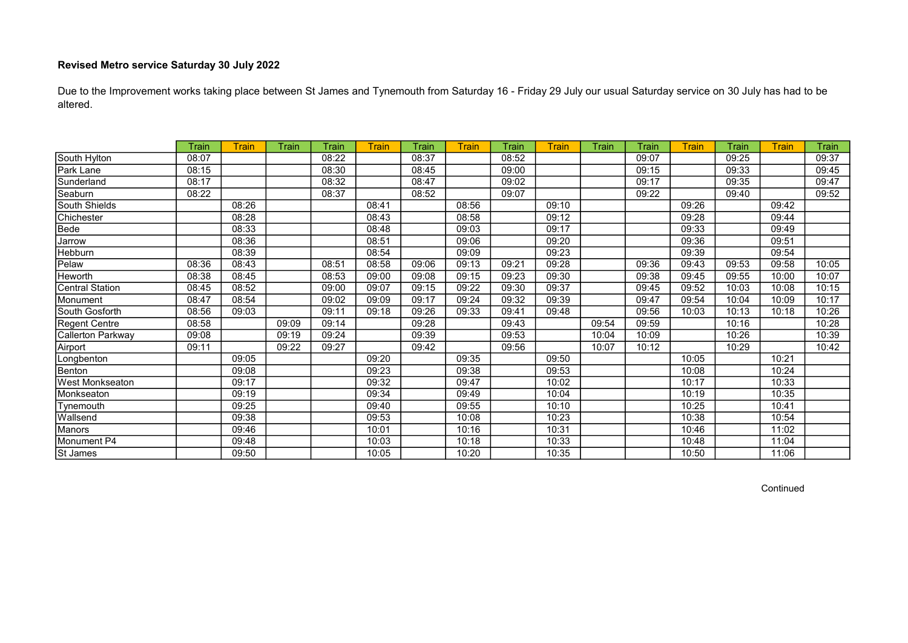Due to the Improvement works taking place between St James and Tynemouth from Saturday 16 - Friday 29 July our usual Saturday service on 30 July has had to be altered.

|                        | Train | Train | Train | Train | <b>Train</b> | Train | Train | Train | <b>Train</b> | Train | Train | Train | Train | Train | Train |
|------------------------|-------|-------|-------|-------|--------------|-------|-------|-------|--------------|-------|-------|-------|-------|-------|-------|
| South Hylton           | 08:07 |       |       | 08:22 |              | 08:37 |       | 08:52 |              |       | 09:07 |       | 09:25 |       | 09:37 |
| Park Lane              | 08:15 |       |       | 08:30 |              | 08:45 |       | 09:00 |              |       | 09:15 |       | 09:33 |       | 09:45 |
| Sunderland             | 08:17 |       |       | 08:32 |              | 08:47 |       | 09:02 |              |       | 09:17 |       | 09:35 |       | 09:47 |
| Seaburn                | 08:22 |       |       | 08:37 |              | 08:52 |       | 09:07 |              |       | 09:22 |       | 09:40 |       | 09:52 |
| South Shields          |       | 08:26 |       |       | 08:41        |       | 08:56 |       | 09:10        |       |       | 09:26 |       | 09:42 |       |
| Chichester             |       | 08:28 |       |       | 08:43        |       | 08:58 |       | 09:12        |       |       | 09:28 |       | 09:44 |       |
| Bede                   |       | 08:33 |       |       | 08:48        |       | 09:03 |       | 09:17        |       |       | 09:33 |       | 09:49 |       |
| Jarrow                 |       | 08:36 |       |       | 08:51        |       | 09:06 |       | 09:20        |       |       | 09:36 |       | 09:51 |       |
| Hebburn                |       | 08:39 |       |       | 08:54        |       | 09:09 |       | 09:23        |       |       | 09:39 |       | 09:54 |       |
| Pelaw                  | 08:36 | 08:43 |       | 08:51 | 08:58        | 09:06 | 09:13 | 09:21 | 09:28        |       | 09:36 | 09:43 | 09:53 | 09:58 | 10:05 |
| Heworth                | 08:38 | 08:45 |       | 08:53 | 09:00        | 09:08 | 09:15 | 09:23 | 09:30        |       | 09:38 | 09:45 | 09:55 | 10:00 | 10:07 |
| Central Station        | 08:45 | 08:52 |       | 09:00 | 09:07        | 09:15 | 09:22 | 09:30 | 09:37        |       | 09:45 | 09:52 | 10:03 | 10:08 | 10:15 |
| Monument               | 08:47 | 08:54 |       | 09:02 | 09:09        | 09:17 | 09:24 | 09:32 | 09:39        |       | 09:47 | 09:54 | 10:04 | 10:09 | 10:17 |
| South Gosforth         | 08:56 | 09:03 |       | 09:11 | 09:18        | 09:26 | 09:33 | 09:41 | 09:48        |       | 09:56 | 10:03 | 10:13 | 10:18 | 10:26 |
| Regent Centre          | 08:58 |       | 09:09 | 09:14 |              | 09:28 |       | 09:43 |              | 09:54 | 09:59 |       | 10:16 |       | 10:28 |
| Callerton Parkway      | 09:08 |       | 09:19 | 09:24 |              | 09:39 |       | 09:53 |              | 10:04 | 10:09 |       | 10:26 |       | 10:39 |
| Airport                | 09:11 |       | 09:22 | 09:27 |              | 09:42 |       | 09:56 |              | 10:07 | 10:12 |       | 10:29 |       | 10:42 |
| Longbenton             |       | 09:05 |       |       | 09:20        |       | 09:35 |       | 09:50        |       |       | 10:05 |       | 10:21 |       |
| Benton                 |       | 09:08 |       |       | 09:23        |       | 09:38 |       | 09:53        |       |       | 10:08 |       | 10:24 |       |
| <b>West Monkseaton</b> |       | 09:17 |       |       | 09:32        |       | 09:47 |       | 10:02        |       |       | 10:17 |       | 10:33 |       |
| Monkseaton             |       | 09:19 |       |       | 09:34        |       | 09:49 |       | 10:04        |       |       | 10:19 |       | 10:35 |       |
| Tynemouth              |       | 09:25 |       |       | 09:40        |       | 09:55 |       | 10:10        |       |       | 10:25 |       | 10:41 |       |
| Wallsend               |       | 09:38 |       |       | 09:53        |       | 10:08 |       | 10:23        |       |       | 10:38 |       | 10:54 |       |
| Manors                 |       | 09:46 |       |       | 10:01        |       | 10:16 |       | 10:31        |       |       | 10:46 |       | 11:02 |       |
| Monument P4            |       | 09:48 |       |       | 10:03        |       | 10:18 |       | 10:33        |       |       | 10:48 |       | 11:04 |       |
| St James               |       | 09:50 |       |       | 10:05        |       | 10:20 |       | 10:35        |       |       | 10:50 |       | 11:06 |       |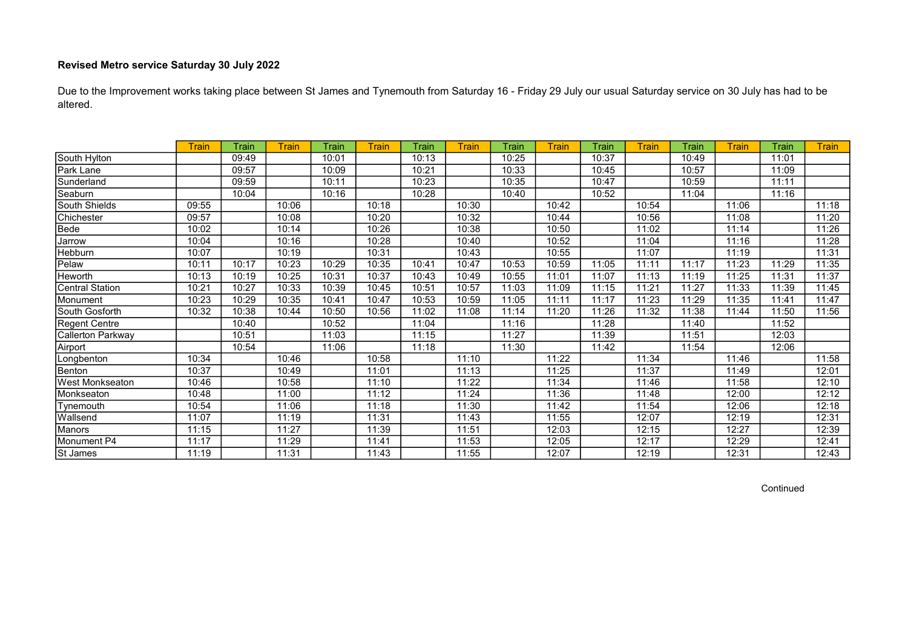Due to the Improvement works taking place between St James and Tynemouth from Saturday 16 - Friday 29 July our usual Saturday service on 30 July has had to be altered.

|                        | Train | Train | Train | Train | Train | Train | Train | Train | <b>Train</b> | Train | <b>Train</b> | Train | Train | Train | <b>Train</b> |
|------------------------|-------|-------|-------|-------|-------|-------|-------|-------|--------------|-------|--------------|-------|-------|-------|--------------|
| South Hylton           |       | 09:49 |       | 10:01 |       | 10:13 |       | 10:25 |              | 10:37 |              | 10:49 |       | 11:01 |              |
| Park Lane              |       | 09:57 |       | 10:09 |       | 10:21 |       | 10:33 |              | 10:45 |              | 10:57 |       | 11:09 |              |
| Sunderland             |       | 09:59 |       | 10:11 |       | 10:23 |       | 10:35 |              | 10:47 |              | 10:59 |       | 11:11 |              |
| Seaburn                |       | 10:04 |       | 10:16 |       | 10:28 |       | 10:40 |              | 10:52 |              | 11:04 |       | 11:16 |              |
| South Shields          | 09:55 |       | 10:06 |       | 10:18 |       | 10:30 |       | 10:42        |       | 10:54        |       | 11:06 |       | 11:18        |
| Chichester             | 09:57 |       | 10:08 |       | 10:20 |       | 10:32 |       | 10:44        |       | 10:56        |       | 11:08 |       | 11:20        |
| Bede                   | 10:02 |       | 10:14 |       | 10:26 |       | 10:38 |       | 10:50        |       | 11:02        |       | 11:14 |       | 11:26        |
| Jarrow                 | 10:04 |       | 10:16 |       | 10:28 |       | 10:40 |       | 10:52        |       | 11:04        |       | 11:16 |       | 11:28        |
| Hebburn                | 10:07 |       | 10:19 |       | 10:31 |       | 10:43 |       | 10:55        |       | 11:07        |       | 11:19 |       | 11:31        |
| Pelaw                  | 10:11 | 10:17 | 10:23 | 10:29 | 10:35 | 10:41 | 10:47 | 10:53 | 10:59        | 11:05 | 11:11        | 11:17 | 11:23 | 11:29 | 11:35        |
| Heworth                | 10:13 | 10:19 | 10:25 | 10:31 | 10:37 | 10:43 | 10:49 | 10:55 | 11:01        | 11:07 | 11:13        | 11:19 | 11:25 | 11:31 | 11:37        |
| <b>Central Station</b> | 10:21 | 10:27 | 10:33 | 10:39 | 10:45 | 10:51 | 10:57 | 11:03 | 11:09        | 11:15 | 11:21        | 11:27 | 11:33 | 11:39 | 11:45        |
| Monument               | 10:23 | 10:29 | 10:35 | 10:41 | 10:47 | 10:53 | 10:59 | 11:05 | 11:11        | 11:17 | 11:23        | 11:29 | 11:35 | 11:41 | 11:47        |
| South Gosforth         | 10:32 | 10:38 | 10:44 | 10:50 | 10:56 | 11:02 | 11:08 | 11:14 | 11:20        | 11:26 | 11:32        | 11:38 | 11:44 | 11:50 | 11:56        |
| Regent Centre          |       | 10:40 |       | 10:52 |       | 11:04 |       | 11:16 |              | 11:28 |              | 11:40 |       | 11:52 |              |
| Callerton Parkway      |       | 10:51 |       | 11:03 |       | 11:15 |       | 11:27 |              | 11:39 |              | 11:51 |       | 12:03 |              |
| Airport                |       | 10:54 |       | 11:06 |       | 11:18 |       | 11:30 |              | 11:42 |              | 11:54 |       | 12:06 |              |
| Longbenton             | 10:34 |       | 10:46 |       | 10:58 |       | 11:10 |       | 11:22        |       | 11:34        |       | 11:46 |       | 11:58        |
| Benton                 | 10:37 |       | 10:49 |       | 11:01 |       | 11:13 |       | 11:25        |       | 11:37        |       | 11:49 |       | 12:01        |
| <b>West Monkseaton</b> | 10:46 |       | 10:58 |       | 11:10 |       | 11:22 |       | 11:34        |       | 11:46        |       | 11:58 |       | 12:10        |
| Monkseaton             | 10:48 |       | 11:00 |       | 11:12 |       | 11:24 |       | 11:36        |       | 11:48        |       | 12:00 |       | 12:12        |
| Tynemouth              | 10:54 |       | 11:06 |       | 11:18 |       | 11:30 |       | 11:42        |       | 11:54        |       | 12:06 |       | 12:18        |
| Wallsend               | 11:07 |       | 11:19 |       | 11:31 |       | 11:43 |       | 11:55        |       | 12:07        |       | 12:19 |       | 12:31        |
| Manors                 | 11:15 |       | 11:27 |       | 11:39 |       | 11:51 |       | 12:03        |       | 12:15        |       | 12:27 |       | 12:39        |
| Monument P4            | 11:17 |       | 11:29 |       | 11:41 |       | 11:53 |       | 12:05        |       | 12:17        |       | 12:29 |       | 12:41        |
| St James               | 11:19 |       | 11:31 |       | 11:43 |       | 11:55 |       | 12:07        |       | 12:19        |       | 12:31 |       | 12:43        |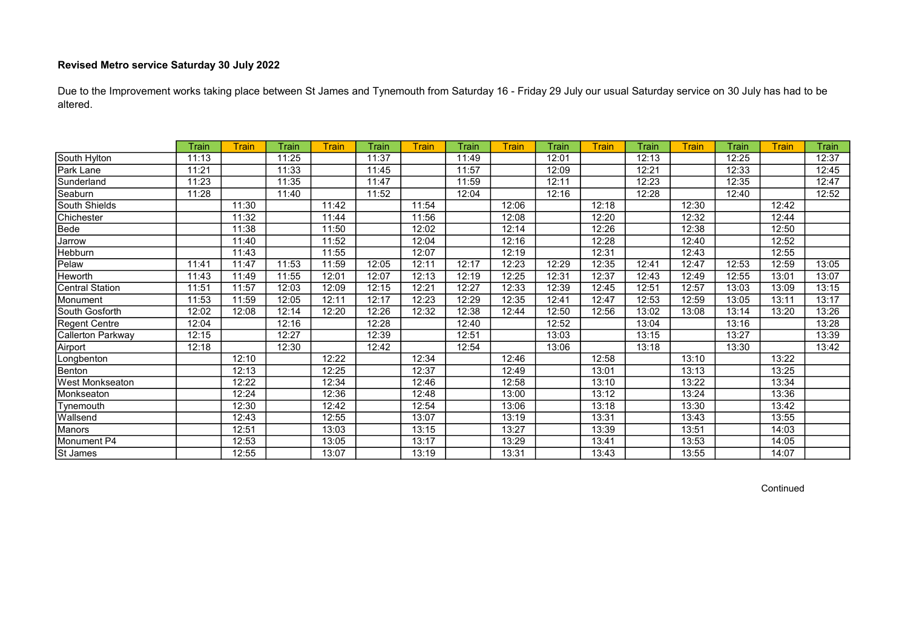Due to the Improvement works taking place between St James and Tynemouth from Saturday 16 - Friday 29 July our usual Saturday service on 30 July has had to be altered.

|                        | Train | Train | Train | <b>Train</b> | Train | <b>Train</b> | Train | Train | Train | Train | Train | <b>Train</b> | Train | Train | Train |
|------------------------|-------|-------|-------|--------------|-------|--------------|-------|-------|-------|-------|-------|--------------|-------|-------|-------|
| South Hylton           | 11:13 |       | 11:25 |              | 11:37 |              | 11:49 |       | 12:01 |       | 12:13 |              | 12:25 |       | 12:37 |
| Park Lane              | 11:21 |       | 11:33 |              | 11:45 |              | 11:57 |       | 12:09 |       | 12:21 |              | 12:33 |       | 12:45 |
| Sunderland             | 11:23 |       | 11:35 |              | 11:47 |              | 11:59 |       | 12:11 |       | 12:23 |              | 12:35 |       | 12:47 |
| Seaburn                | 11:28 |       | 11:40 |              | 11:52 |              | 12:04 |       | 12:16 |       | 12:28 |              | 12:40 |       | 12:52 |
| South Shields          |       | 11:30 |       | 11:42        |       | 11:54        |       | 12:06 |       | 12:18 |       | 12:30        |       | 12:42 |       |
| Chichester             |       | 11:32 |       | 11:44        |       | 11:56        |       | 12:08 |       | 12:20 |       | 12:32        |       | 12:44 |       |
| Bede                   |       | 11:38 |       | 11:50        |       | 12:02        |       | 12:14 |       | 12:26 |       | 12:38        |       | 12:50 |       |
| Jarrow                 |       | 11:40 |       | 11:52        |       | 12:04        |       | 12:16 |       | 12:28 |       | 12:40        |       | 12:52 |       |
| Hebburn                |       | 11:43 |       | 11:55        |       | 12:07        |       | 12:19 |       | 12:31 |       | 12:43        |       | 12:55 |       |
| Pelaw                  | 11:41 | 11:47 | 11:53 | 11:59        | 12:05 | 12:11        | 12:17 | 12:23 | 12:29 | 12:35 | 12:41 | 12:47        | 12:53 | 12:59 | 13:05 |
| Heworth                | 11:43 | 11:49 | 11:55 | 12:01        | 12:07 | 12:13        | 12:19 | 12:25 | 12:31 | 12:37 | 12:43 | 12:49        | 12:55 | 13:01 | 13:07 |
| Central Station        | 11:51 | 11:57 | 12:03 | 12:09        | 12:15 | 12:21        | 12:27 | 12:33 | 12:39 | 12:45 | 12:51 | 12:57        | 13:03 | 13:09 | 13:15 |
| Monument               | 11:53 | 11:59 | 12:05 | 12:11        | 12:17 | 12:23        | 12:29 | 12:35 | 12:41 | 12:47 | 12:53 | 12:59        | 13:05 | 13:11 | 13:17 |
| South Gosforth         | 12:02 | 12:08 | 12:14 | 12:20        | 12:26 | 12:32        | 12:38 | 12:44 | 12:50 | 12:56 | 13:02 | 13:08        | 13:14 | 13:20 | 13:26 |
| Regent Centre          | 12:04 |       | 12:16 |              | 12:28 |              | 12:40 |       | 12:52 |       | 13:04 |              | 13:16 |       | 13:28 |
| Callerton Parkway      | 12:15 |       | 12:27 |              | 12:39 |              | 12:51 |       | 13:03 |       | 13:15 |              | 13:27 |       | 13:39 |
| Airport                | 12:18 |       | 12:30 |              | 12:42 |              | 12:54 |       | 13:06 |       | 13:18 |              | 13:30 |       | 13:42 |
| Longbenton             |       | 12:10 |       | 12:22        |       | 12:34        |       | 12:46 |       | 12:58 |       | 13:10        |       | 13:22 |       |
| Benton                 |       | 12:13 |       | 12:25        |       | 12:37        |       | 12:49 |       | 13:01 |       | 13:13        |       | 13:25 |       |
| <b>West Monkseaton</b> |       | 12:22 |       | 12:34        |       | 12:46        |       | 12:58 |       | 13:10 |       | 13:22        |       | 13:34 |       |
| Monkseaton             |       | 12:24 |       | 12:36        |       | 12:48        |       | 13:00 |       | 13:12 |       | 13:24        |       | 13:36 |       |
| Tynemouth              |       | 12:30 |       | 12:42        |       | 12:54        |       | 13:06 |       | 13:18 |       | 13:30        |       | 13:42 |       |
| Wallsend               |       | 12:43 |       | 12:55        |       | 13:07        |       | 13:19 |       | 13:31 |       | 13:43        |       | 13:55 |       |
| Manors                 |       | 12:51 |       | 13:03        |       | 13:15        |       | 13:27 |       | 13:39 |       | 13:51        |       | 14:03 |       |
| Monument P4            |       | 12:53 |       | 13:05        |       | 13:17        |       | 13:29 |       | 13:41 |       | 13:53        |       | 14:05 |       |
| St James               |       | 12:55 |       | 13:07        |       | 13:19        |       | 13:31 |       | 13:43 |       | 13:55        |       | 14:07 |       |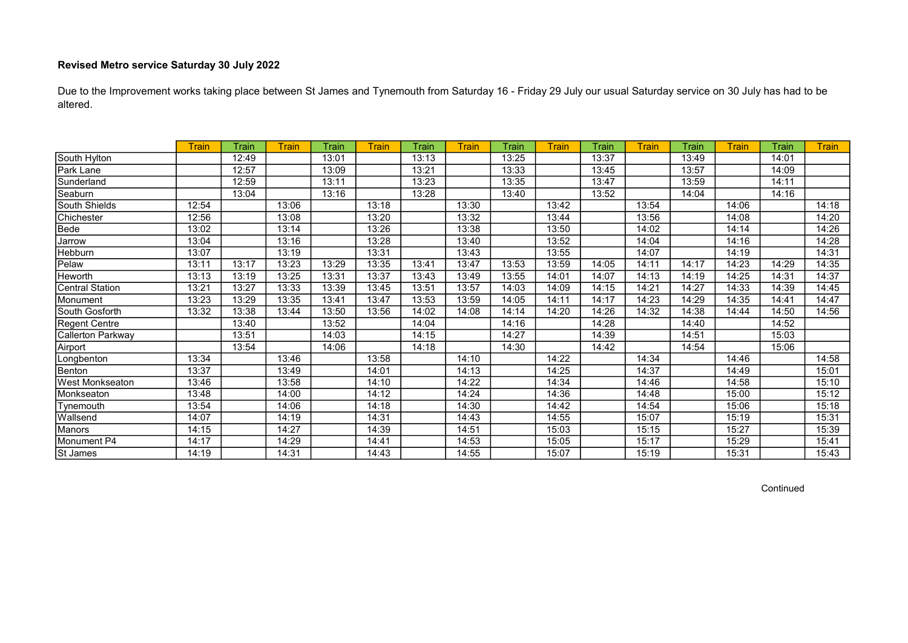Due to the Improvement works taking place between St James and Tynemouth from Saturday 16 - Friday 29 July our usual Saturday service on 30 July has had to be altered.

|                        | <b>Train</b> | Train | <b>Train</b> | Train | Train | Train | Train | Train | <b>Train</b> | Train | Train | Train | <b>Train</b> | Train | <b>Train</b> |
|------------------------|--------------|-------|--------------|-------|-------|-------|-------|-------|--------------|-------|-------|-------|--------------|-------|--------------|
| South Hylton           |              | 12:49 |              | 13:01 |       | 13:13 |       | 13:25 |              | 13:37 |       | 13:49 |              | 14:01 |              |
| Park Lane              |              | 12:57 |              | 13:09 |       | 13:21 |       | 13:33 |              | 13:45 |       | 13:57 |              | 14:09 |              |
| Sunderland             |              | 12:59 |              | 13:11 |       | 13:23 |       | 13:35 |              | 13:47 |       | 13:59 |              | 14:11 |              |
| Seaburn                |              | 13:04 |              | 13:16 |       | 13:28 |       | 13:40 |              | 13:52 |       | 14:04 |              | 14:16 |              |
| South Shields          | 12:54        |       | 13:06        |       | 13:18 |       | 13:30 |       | 13:42        |       | 13:54 |       | 14:06        |       | 14:18        |
| Chichester             | 12:56        |       | 13:08        |       | 13:20 |       | 13:32 |       | 13:44        |       | 13:56 |       | 14:08        |       | 14:20        |
| Bede                   | 13:02        |       | 13:14        |       | 13:26 |       | 13:38 |       | 13:50        |       | 14:02 |       | 14:14        |       | 14:26        |
| Jarrow                 | 13:04        |       | 13:16        |       | 13:28 |       | 13:40 |       | 13:52        |       | 14:04 |       | 14:16        |       | 14:28        |
| <b>Hebburn</b>         | 13:07        |       | 13:19        |       | 13:31 |       | 13:43 |       | 13:55        |       | 14:07 |       | 14:19        |       | 14:31        |
| Pelaw                  | 13:11        | 13:17 | 13:23        | 13:29 | 13:35 | 13:41 | 13:47 | 13:53 | 13:59        | 14:05 | 14:11 | 14:17 | 14:23        | 14:29 | 14:35        |
| Heworth                | 13:13        | 13:19 | 13:25        | 13:31 | 13:37 | 13:43 | 13:49 | 13:55 | 14:01        | 14:07 | 14:13 | 14:19 | 14:25        | 14:31 | 14:37        |
| <b>Central Station</b> | 13:21        | 13:27 | 13:33        | 13:39 | 13:45 | 13:51 | 13:57 | 14:03 | 14:09        | 14:15 | 14:21 | 14:27 | 14:33        | 14:39 | 14:45        |
| Monument               | 13:23        | 13:29 | 13:35        | 13:41 | 13:47 | 13:53 | 13:59 | 14:05 | 14:11        | 14:17 | 14:23 | 14:29 | 14:35        | 14:41 | 14:47        |
| South Gosforth         | 13:32        | 13:38 | 13:44        | 13:50 | 13:56 | 14:02 | 14:08 | 14:14 | 14:20        | 14:26 | 14:32 | 14:38 | 14:44        | 14:50 | 14:56        |
| Regent Centre          |              | 13:40 |              | 13:52 |       | 14:04 |       | 14:16 |              | 14:28 |       | 14:40 |              | 14:52 |              |
| Callerton Parkway      |              | 13:51 |              | 14:03 |       | 14:15 |       | 14:27 |              | 14:39 |       | 14:51 |              | 15:03 |              |
| Airport                |              | 13:54 |              | 14:06 |       | 14:18 |       | 14:30 |              | 14:42 |       | 14:54 |              | 15:06 |              |
| Longbenton             | 13:34        |       | 13:46        |       | 13:58 |       | 14:10 |       | 14:22        |       | 14:34 |       | 14:46        |       | 14:58        |
| Benton                 | 13:37        |       | 13:49        |       | 14:01 |       | 14:13 |       | 14:25        |       | 14:37 |       | 14:49        |       | 15:01        |
| <b>West Monkseaton</b> | 13:46        |       | 13:58        |       | 14:10 |       | 14:22 |       | 14:34        |       | 14:46 |       | 14:58        |       | 15:10        |
| Monkseaton             | 13:48        |       | 14:00        |       | 14:12 |       | 14:24 |       | 14:36        |       | 14:48 |       | 15:00        |       | 15:12        |
| Tynemouth              | 13:54        |       | 14:06        |       | 14:18 |       | 14:30 |       | 14:42        |       | 14:54 |       | 15:06        |       | 15:18        |
| Wallsend               | 14:07        |       | 14:19        |       | 14:31 |       | 14:43 |       | 14:55        |       | 15:07 |       | 15:19        |       | 15:31        |
| <b>Manors</b>          | 14:15        |       | 14:27        |       | 14:39 |       | 14:51 |       | 15:03        |       | 15:15 |       | 15:27        |       | 15:39        |
| Monument P4            | 14:17        |       | 14:29        |       | 14:41 |       | 14:53 |       | 15:05        |       | 15:17 |       | 15:29        |       | 15:41        |
| St James               | 14:19        |       | 14:31        |       | 14:43 |       | 14:55 |       | 15:07        |       | 15:19 |       | 15:31        |       | 15:43        |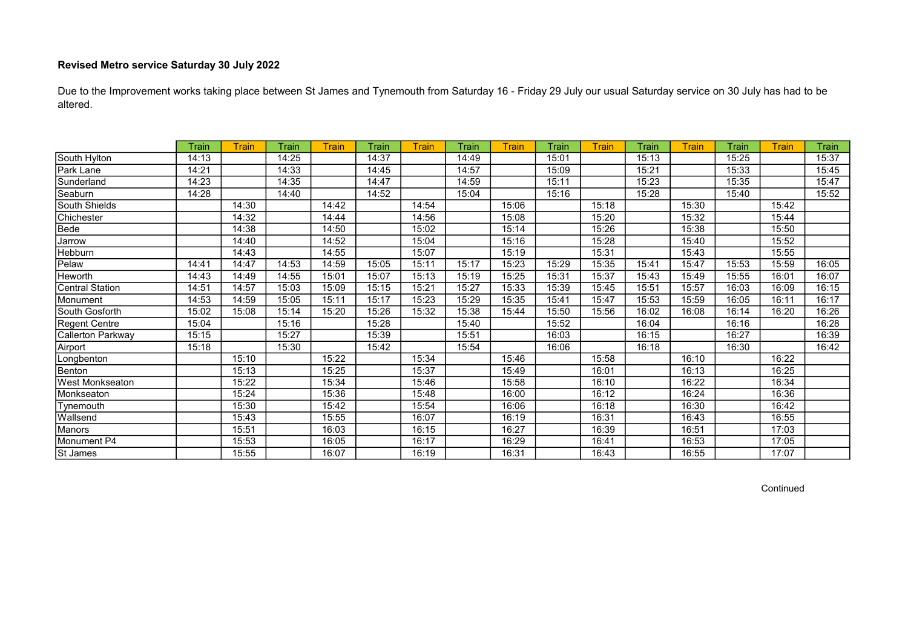Due to the Improvement works taking place between St James and Tynemouth from Saturday 16 - Friday 29 July our usual Saturday service on 30 July has had to be altered.

|                        | Train | Train | Train | <b>Train</b> | Train | <b>Train</b> | Train | Train | Train | Train | Train | <b>Train</b> | Train | Train | Train |
|------------------------|-------|-------|-------|--------------|-------|--------------|-------|-------|-------|-------|-------|--------------|-------|-------|-------|
| South Hylton           | 14:13 |       | 14:25 |              | 14:37 |              | 14:49 |       | 15:01 |       | 15:13 |              | 15:25 |       | 15:37 |
| Park Lane              | 14:21 |       | 14:33 |              | 14:45 |              | 14:57 |       | 15:09 |       | 15:21 |              | 15:33 |       | 15:45 |
| Sunderland             | 14:23 |       | 14:35 |              | 14:47 |              | 14:59 |       | 15:11 |       | 15:23 |              | 15:35 |       | 15:47 |
| Seaburn                | 14:28 |       | 14:40 |              | 14:52 |              | 15:04 |       | 15:16 |       | 15:28 |              | 15:40 |       | 15:52 |
| South Shields          |       | 14:30 |       | 14:42        |       | 14:54        |       | 15:06 |       | 15:18 |       | 15:30        |       | 15:42 |       |
| Chichester             |       | 14:32 |       | 14:44        |       | 14:56        |       | 15:08 |       | 15:20 |       | 15:32        |       | 15:44 |       |
| Bede                   |       | 14:38 |       | 14:50        |       | 15:02        |       | 15:14 |       | 15:26 |       | 15:38        |       | 15:50 |       |
| Jarrow                 |       | 14:40 |       | 14:52        |       | 15:04        |       | 15:16 |       | 15:28 |       | 15:40        |       | 15:52 |       |
| <b>Hebburn</b>         |       | 14:43 |       | 14:55        |       | 15:07        |       | 15:19 |       | 15:31 |       | 15:43        |       | 15:55 |       |
| Pelaw                  | 14:41 | 14:47 | 14:53 | 14:59        | 15:05 | 15:11        | 15:17 | 15:23 | 15:29 | 15:35 | 15:41 | 15:47        | 15:53 | 15:59 | 16:05 |
| Heworth                | 14:43 | 14:49 | 14:55 | 15:01        | 15:07 | 15:13        | 15:19 | 15:25 | 15:31 | 15:37 | 15:43 | 15:49        | 15:55 | 16:01 | 16:07 |
| Central Station        | 14:51 | 14:57 | 15:03 | 15:09        | 15:15 | 15:21        | 15:27 | 15:33 | 15:39 | 15:45 | 15:51 | 15:57        | 16:03 | 16:09 | 16:15 |
| Monument               | 14:53 | 14:59 | 15:05 | 15:11        | 15:17 | 15:23        | 15:29 | 15:35 | 15:41 | 15:47 | 15:53 | 15:59        | 16:05 | 16:11 | 16:17 |
| South Gosforth         | 15:02 | 15:08 | 15:14 | 15:20        | 15:26 | 15:32        | 15:38 | 15:44 | 15:50 | 15:56 | 16:02 | 16:08        | 16:14 | 16:20 | 16:26 |
| Regent Centre          | 15:04 |       | 15:16 |              | 15:28 |              | 15:40 |       | 15:52 |       | 16:04 |              | 16:16 |       | 16:28 |
| Callerton Parkway      | 15:15 |       | 15:27 |              | 15:39 |              | 15:51 |       | 16:03 |       | 16:15 |              | 16:27 |       | 16:39 |
| Airport                | 15:18 |       | 15:30 |              | 15:42 |              | 15:54 |       | 16:06 |       | 16:18 |              | 16:30 |       | 16:42 |
| Longbenton             |       | 15:10 |       | 15:22        |       | 15:34        |       | 15:46 |       | 15:58 |       | 16:10        |       | 16:22 |       |
| Benton                 |       | 15:13 |       | 15:25        |       | 15:37        |       | 15:49 |       | 16:01 |       | 16:13        |       | 16:25 |       |
| <b>West Monkseaton</b> |       | 15:22 |       | 15:34        |       | 15:46        |       | 15:58 |       | 16:10 |       | 16:22        |       | 16:34 |       |
| Monkseaton             |       | 15:24 |       | 15:36        |       | 15:48        |       | 16:00 |       | 16:12 |       | 16:24        |       | 16:36 |       |
| Tynemouth              |       | 15:30 |       | 15:42        |       | 15:54        |       | 16:06 |       | 16:18 |       | 16:30        |       | 16:42 |       |
| Wallsend               |       | 15:43 |       | 15:55        |       | 16:07        |       | 16:19 |       | 16:31 |       | 16:43        |       | 16:55 |       |
| Manors                 |       | 15:51 |       | 16:03        |       | 16:15        |       | 16:27 |       | 16:39 |       | 16:51        |       | 17:03 |       |
| Monument P4            |       | 15:53 |       | 16:05        |       | 16:17        |       | 16:29 |       | 16:41 |       | 16:53        |       | 17:05 |       |
| St James               |       | 15:55 |       | 16:07        |       | 16:19        |       | 16:31 |       | 16:43 |       | 16:55        |       | 17:07 |       |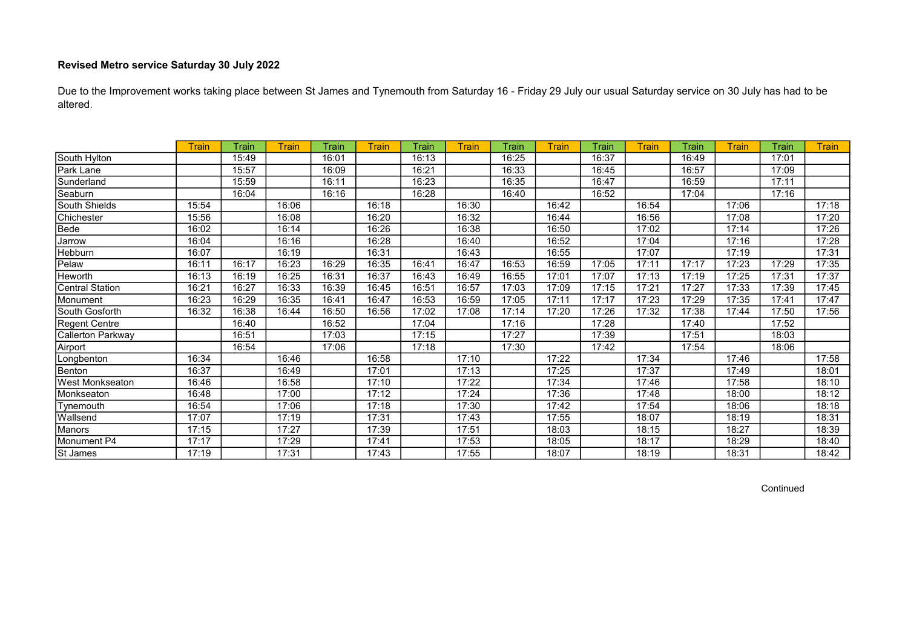Due to the Improvement works taking place between St James and Tynemouth from Saturday 16 - Friday 29 July our usual Saturday service on 30 July has had to be altered.

|                        | <b>Train</b> | Train | <b>Train</b> | Train | Train | Train | Train | Train | <b>Train</b> | Train | Train | Train | <b>Train</b> | Train | <b>Train</b> |
|------------------------|--------------|-------|--------------|-------|-------|-------|-------|-------|--------------|-------|-------|-------|--------------|-------|--------------|
| South Hylton           |              | 15:49 |              | 16:01 |       | 16:13 |       | 16:25 |              | 16:37 |       | 16:49 |              | 17:01 |              |
| Park Lane              |              | 15:57 |              | 16:09 |       | 16:21 |       | 16:33 |              | 16:45 |       | 16:57 |              | 17:09 |              |
| Sunderland             |              | 15:59 |              | 16:11 |       | 16:23 |       | 16:35 |              | 16:47 |       | 16:59 |              | 17:11 |              |
| Seaburn                |              | 16:04 |              | 16:16 |       | 16:28 |       | 16:40 |              | 16:52 |       | 17:04 |              | 17:16 |              |
| South Shields          | 15:54        |       | 16:06        |       | 16:18 |       | 16:30 |       | 16:42        |       | 16:54 |       | 17:06        |       | 17:18        |
| Chichester             | 15:56        |       | 16:08        |       | 16:20 |       | 16:32 |       | 16:44        |       | 16:56 |       | 17:08        |       | 17:20        |
| Bede                   | 16:02        |       | 16:14        |       | 16:26 |       | 16:38 |       | 16:50        |       | 17:02 |       | 17:14        |       | 17:26        |
| Jarrow                 | 16:04        |       | 16:16        |       | 16:28 |       | 16:40 |       | 16:52        |       | 17:04 |       | 17:16        |       | 17:28        |
| <b>Hebburn</b>         | 16:07        |       | 16:19        |       | 16:31 |       | 16:43 |       | 16:55        |       | 17:07 |       | 17:19        |       | 17:31        |
| Pelaw                  | 16:11        | 16:17 | 16:23        | 16:29 | 16:35 | 16:41 | 16:47 | 16:53 | 16:59        | 17:05 | 17:11 | 17:17 | 17:23        | 17:29 | 17:35        |
| Heworth                | 16:13        | 16:19 | 16:25        | 16:31 | 16:37 | 16:43 | 16:49 | 16:55 | 17:01        | 17:07 | 17:13 | 17:19 | 17:25        | 17:31 | 17:37        |
| <b>Central Station</b> | 16:21        | 16:27 | 16:33        | 16:39 | 16:45 | 16:51 | 16:57 | 17:03 | 17:09        | 17:15 | 17:21 | 17:27 | 17:33        | 17:39 | 17:45        |
| Monument               | 16:23        | 16:29 | 16:35        | 16:41 | 16:47 | 16:53 | 16:59 | 17:05 | 17:11        | 17:17 | 17:23 | 17:29 | 17:35        | 17:41 | 17:47        |
| South Gosforth         | 16:32        | 16:38 | 16:44        | 16:50 | 16:56 | 17:02 | 17:08 | 17:14 | 17:20        | 17:26 | 17:32 | 17:38 | 17:44        | 17:50 | 17:56        |
| Regent Centre          |              | 16:40 |              | 16:52 |       | 17:04 |       | 17:16 |              | 17:28 |       | 17:40 |              | 17:52 |              |
| Callerton Parkway      |              | 16:51 |              | 17:03 |       | 17:15 |       | 17:27 |              | 17:39 |       | 17:51 |              | 18:03 |              |
| Airport                |              | 16:54 |              | 17:06 |       | 17:18 |       | 17:30 |              | 17:42 |       | 17:54 |              | 18:06 |              |
| Longbenton             | 16:34        |       | 16:46        |       | 16:58 |       | 17:10 |       | 17:22        |       | 17:34 |       | 17:46        |       | 17:58        |
| Benton                 | 16:37        |       | 16:49        |       | 17:01 |       | 17:13 |       | 17:25        |       | 17:37 |       | 17:49        |       | 18:01        |
| <b>West Monkseaton</b> | 16:46        |       | 16:58        |       | 17:10 |       | 17:22 |       | 17:34        |       | 17:46 |       | 17:58        |       | 18:10        |
| Monkseaton             | 16:48        |       | 17:00        |       | 17:12 |       | 17:24 |       | 17:36        |       | 17:48 |       | 18:00        |       | 18:12        |
| Tynemouth              | 16:54        |       | 17:06        |       | 17:18 |       | 17:30 |       | 17:42        |       | 17:54 |       | 18:06        |       | 18:18        |
| Wallsend               | 17:07        |       | 17:19        |       | 17:31 |       | 17:43 |       | 17:55        |       | 18:07 |       | 18:19        |       | 18:31        |
| <b>Manors</b>          | 17:15        |       | 17:27        |       | 17:39 |       | 17:51 |       | 18:03        |       | 18:15 |       | 18:27        |       | 18:39        |
| Monument P4            | 17:17        |       | 17:29        |       | 17:41 |       | 17:53 |       | 18:05        |       | 18:17 |       | 18:29        |       | 18:40        |
| St James               | 17:19        |       | 17:31        |       | 17:43 |       | 17:55 |       | 18:07        |       | 18:19 |       | 18:31        |       | 18:42        |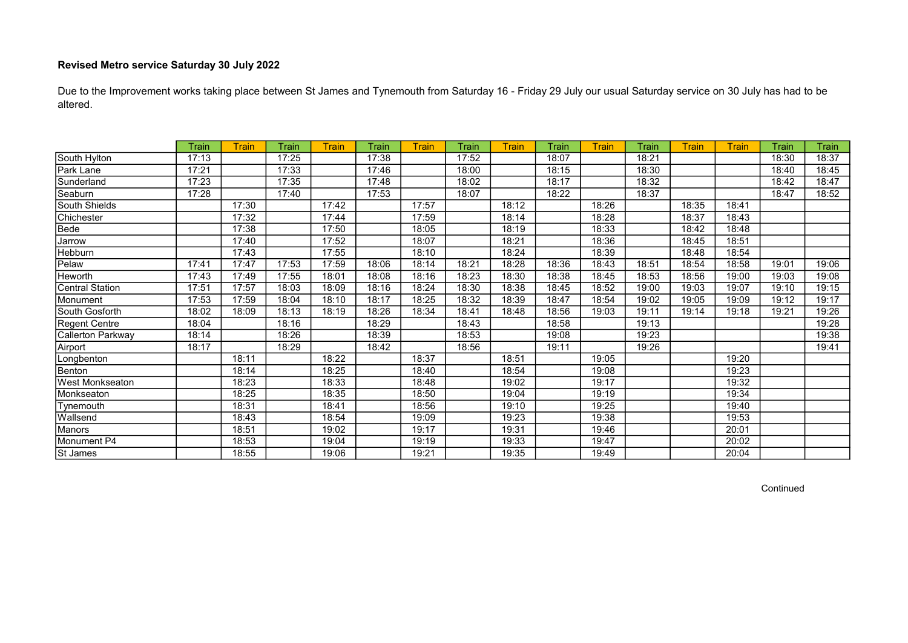Due to the Improvement works taking place between St James and Tynemouth from Saturday 16 - Friday 29 July our usual Saturday service on 30 July has had to be altered.

|                        | Train | Train | Train | Train | Train | Train | Train | Train | Train | Train | Train | Train | Train | Train | Train |
|------------------------|-------|-------|-------|-------|-------|-------|-------|-------|-------|-------|-------|-------|-------|-------|-------|
| South Hylton           | 17:13 |       | 17:25 |       | 17:38 |       | 17:52 |       | 18:07 |       | 18:21 |       |       | 18:30 | 18:37 |
| Park Lane              | 17:21 |       | 17:33 |       | 17:46 |       | 18:00 |       | 18:15 |       | 18:30 |       |       | 18:40 | 18:45 |
| Sunderland             | 17:23 |       | 17:35 |       | 17:48 |       | 18:02 |       | 18:17 |       | 18:32 |       |       | 18:42 | 18:47 |
| Seaburn                | 17:28 |       | 17:40 |       | 17:53 |       | 18:07 |       | 18:22 |       | 18:37 |       |       | 18:47 | 18:52 |
| South Shields          |       | 17:30 |       | 17:42 |       | 17:57 |       | 18:12 |       | 18:26 |       | 18:35 | 18:41 |       |       |
| Chichester             |       | 17:32 |       | 17:44 |       | 17:59 |       | 18:14 |       | 18:28 |       | 18:37 | 18:43 |       |       |
| Bede                   |       | 17:38 |       | 17:50 |       | 18:05 |       | 18:19 |       | 18:33 |       | 18:42 | 18:48 |       |       |
| Jarrow                 |       | 17:40 |       | 17:52 |       | 18:07 |       | 18:21 |       | 18:36 |       | 18:45 | 18:51 |       |       |
| Hebburn                |       | 17:43 |       | 17:55 |       | 18:10 |       | 18:24 |       | 18:39 |       | 18:48 | 18:54 |       |       |
| Pelaw                  | 17:41 | 17:47 | 17:53 | 17:59 | 18:06 | 18:14 | 18:21 | 18:28 | 18:36 | 18:43 | 18:51 | 18:54 | 18:58 | 19:01 | 19:06 |
| Heworth                | 17:43 | 17:49 | 17:55 | 18:01 | 18:08 | 18:16 | 18:23 | 18:30 | 18:38 | 18:45 | 18:53 | 18:56 | 19:00 | 19:03 | 19:08 |
| Central Station        | 17:51 | 17:57 | 18:03 | 18:09 | 18:16 | 18:24 | 18:30 | 18:38 | 18:45 | 18:52 | 19:00 | 19:03 | 19:07 | 19:10 | 19:15 |
| Monument               | 17:53 | 17:59 | 18:04 | 18:10 | 18:17 | 18:25 | 18:32 | 18:39 | 18:47 | 18:54 | 19:02 | 19:05 | 19:09 | 19:12 | 19:17 |
| South Gosforth         | 18:02 | 18:09 | 18:13 | 18:19 | 18:26 | 18:34 | 18:41 | 18:48 | 18:56 | 19:03 | 19:11 | 19:14 | 19:18 | 19:21 | 19:26 |
| Regent Centre          | 18:04 |       | 18:16 |       | 18:29 |       | 18:43 |       | 18:58 |       | 19:13 |       |       |       | 19:28 |
| Callerton Parkway      | 18:14 |       | 18:26 |       | 18:39 |       | 18:53 |       | 19:08 |       | 19:23 |       |       |       | 19:38 |
| Airport                | 18:17 |       | 18:29 |       | 18:42 |       | 18:56 |       | 19:11 |       | 19:26 |       |       |       | 19:41 |
| Longbenton             |       | 18:11 |       | 18:22 |       | 18:37 |       | 18:51 |       | 19:05 |       |       | 19:20 |       |       |
| Benton                 |       | 18:14 |       | 18:25 |       | 18:40 |       | 18:54 |       | 19:08 |       |       | 19:23 |       |       |
| <b>West Monkseaton</b> |       | 18:23 |       | 18:33 |       | 18:48 |       | 19:02 |       | 19:17 |       |       | 19:32 |       |       |
| Monkseaton             |       | 18:25 |       | 18:35 |       | 18:50 |       | 19:04 |       | 19:19 |       |       | 19:34 |       |       |
| Tynemouth              |       | 18:31 |       | 18:41 |       | 18:56 |       | 19:10 |       | 19:25 |       |       | 19:40 |       |       |
| Wallsend               |       | 18:43 |       | 18:54 |       | 19:09 |       | 19:23 |       | 19:38 |       |       | 19:53 |       |       |
| Manors                 |       | 18:51 |       | 19:02 |       | 19:17 |       | 19:31 |       | 19:46 |       |       | 20:01 |       |       |
| Monument P4            |       | 18:53 |       | 19:04 |       | 19:19 |       | 19:33 |       | 19:47 |       |       | 20:02 |       |       |
| St James               |       | 18:55 |       | 19:06 |       | 19:21 |       | 19:35 |       | 19:49 |       |       | 20:04 |       |       |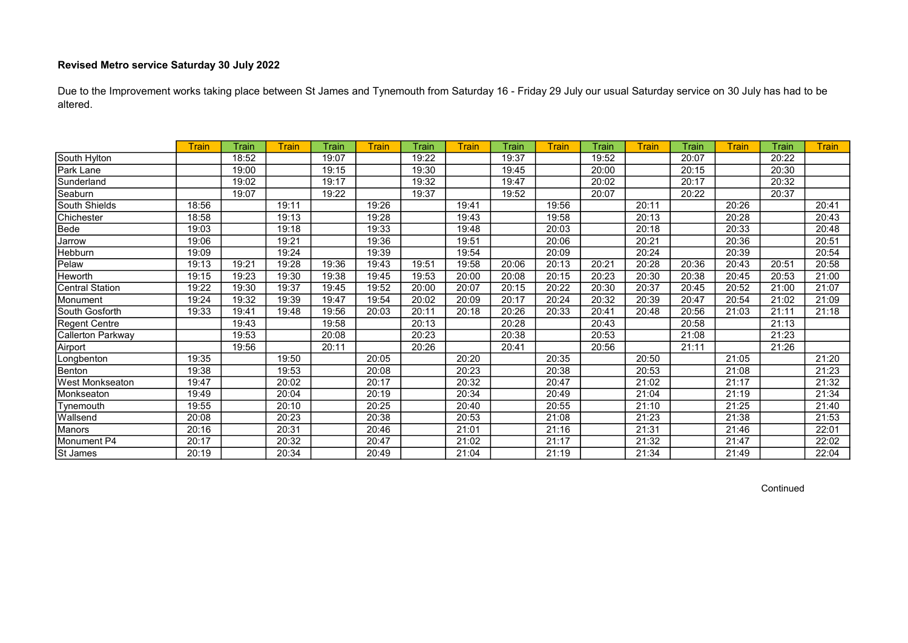Due to the Improvement works taking place between St James and Tynemouth from Saturday 16 - Friday 29 July our usual Saturday service on 30 July has had to be altered.

|                        | <b>Train</b> | Train | Train | Train | <b>Train</b> | Train | Train | Train | <b>Train</b> | Train | <b>Train</b> | Train | <b>Train</b> | Train | <b>Train</b> |
|------------------------|--------------|-------|-------|-------|--------------|-------|-------|-------|--------------|-------|--------------|-------|--------------|-------|--------------|
| South Hylton           |              | 18:52 |       | 19:07 |              | 19:22 |       | 19:37 |              | 19:52 |              | 20:07 |              | 20:22 |              |
| Park Lane              |              | 19:00 |       | 19:15 |              | 19:30 |       | 19:45 |              | 20:00 |              | 20:15 |              | 20:30 |              |
| Sunderland             |              | 19:02 |       | 19:17 |              | 19:32 |       | 19:47 |              | 20:02 |              | 20:17 |              | 20:32 |              |
| Seaburn                |              | 19:07 |       | 19:22 |              | 19:37 |       | 19:52 |              | 20:07 |              | 20:22 |              | 20:37 |              |
| South Shields          | 18:56        |       | 19:11 |       | 19:26        |       | 19:41 |       | 19:56        |       | 20:11        |       | 20:26        |       | 20:41        |
| Chichester             | 18:58        |       | 19:13 |       | 19:28        |       | 19:43 |       | 19:58        |       | 20:13        |       | 20:28        |       | 20:43        |
| Bede                   | 19:03        |       | 19:18 |       | 19:33        |       | 19:48 |       | 20:03        |       | 20:18        |       | 20:33        |       | 20:48        |
| Jarrow                 | 19:06        |       | 19:21 |       | 19:36        |       | 19:51 |       | 20:06        |       | 20:21        |       | 20:36        |       | 20:51        |
| Hebburn                | 19:09        |       | 19:24 |       | 19:39        |       | 19:54 |       | 20:09        |       | 20:24        |       | 20:39        |       | 20:54        |
| Pelaw                  | 19:13        | 19:21 | 19:28 | 19:36 | 19:43        | 19:51 | 19:58 | 20:06 | 20:13        | 20:21 | 20:28        | 20:36 | 20:43        | 20:51 | 20:58        |
| Heworth                | 19:15        | 19:23 | 19:30 | 19:38 | 19:45        | 19:53 | 20:00 | 20:08 | 20:15        | 20:23 | 20:30        | 20:38 | 20:45        | 20:53 | 21:00        |
| <b>Central Station</b> | 19:22        | 19:30 | 19:37 | 19:45 | 19:52        | 20:00 | 20:07 | 20:15 | 20:22        | 20:30 | 20:37        | 20:45 | 20:52        | 21:00 | 21:07        |
| Monument               | 19:24        | 19:32 | 19:39 | 19:47 | 19:54        | 20:02 | 20:09 | 20:17 | 20:24        | 20:32 | 20:39        | 20:47 | 20:54        | 21:02 | 21:09        |
| South Gosforth         | 19:33        | 19:41 | 19:48 | 19:56 | 20:03        | 20:11 | 20:18 | 20:26 | 20:33        | 20:41 | 20:48        | 20:56 | 21:03        | 21:11 | 21:18        |
| Regent Centre          |              | 19:43 |       | 19:58 |              | 20:13 |       | 20:28 |              | 20:43 |              | 20:58 |              | 21:13 |              |
| Callerton Parkway      |              | 19:53 |       | 20:08 |              | 20:23 |       | 20:38 |              | 20:53 |              | 21:08 |              | 21:23 |              |
| Airport                |              | 19:56 |       | 20:11 |              | 20:26 |       | 20:41 |              | 20:56 |              | 21:11 |              | 21:26 |              |
| Longbenton             | 19:35        |       | 19:50 |       | 20:05        |       | 20:20 |       | 20:35        |       | 20:50        |       | 21:05        |       | 21:20        |
| Benton                 | 19:38        |       | 19:53 |       | 20:08        |       | 20:23 |       | 20:38        |       | 20:53        |       | 21:08        |       | 21:23        |
| <b>West Monkseaton</b> | 19:47        |       | 20:02 |       | 20:17        |       | 20:32 |       | 20:47        |       | 21:02        |       | 21:17        |       | 21:32        |
| Monkseaton             | 19:49        |       | 20:04 |       | 20:19        |       | 20:34 |       | 20:49        |       | 21:04        |       | 21:19        |       | 21:34        |
| Tynemouth              | 19:55        |       | 20:10 |       | 20:25        |       | 20:40 |       | 20:55        |       | 21:10        |       | 21:25        |       | 21:40        |
| Wallsend               | 20:08        |       | 20:23 |       | 20:38        |       | 20:53 |       | 21:08        |       | 21:23        |       | 21:38        |       | 21:53        |
| Manors                 | 20:16        |       | 20:31 |       | 20:46        |       | 21:01 |       | 21:16        |       | 21:31        |       | 21:46        |       | 22:01        |
| Monument P4            | 20:17        |       | 20:32 |       | 20:47        |       | 21:02 |       | 21:17        |       | 21:32        |       | 21:47        |       | 22:02        |
| St James               | 20:19        |       | 20:34 |       | 20:49        |       | 21:04 |       | 21:19        |       | 21:34        |       | 21:49        |       | 22:04        |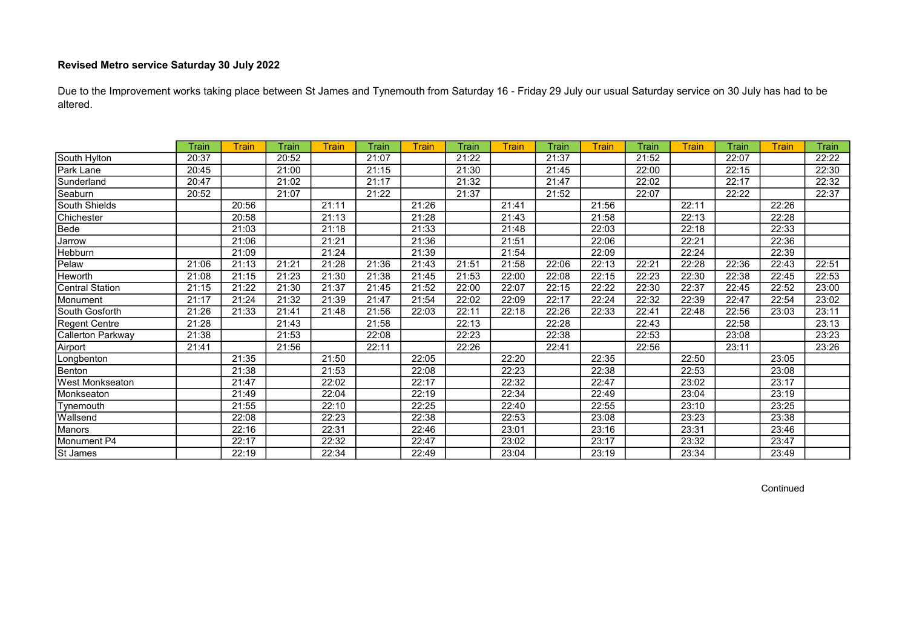Due to the Improvement works taking place between St James and Tynemouth from Saturday 16 - Friday 29 July our usual Saturday service on 30 July has had to be altered.

|                          | Train | <b>Train</b> | Train | Train | Train | Train | Train | Train | Train | Train | Train | Train | Train | Train | Train |
|--------------------------|-------|--------------|-------|-------|-------|-------|-------|-------|-------|-------|-------|-------|-------|-------|-------|
| South Hylton             | 20:37 |              | 20:52 |       | 21:07 |       | 21:22 |       | 21:37 |       | 21:52 |       | 22:07 |       | 22:22 |
| Park Lane                | 20:45 |              | 21:00 |       | 21:15 |       | 21:30 |       | 21:45 |       | 22:00 |       | 22:15 |       | 22:30 |
|                          | 20:47 |              | 21:02 |       |       |       |       |       |       |       |       |       |       |       |       |
| Sunderland               |       |              |       |       | 21:17 |       | 21:32 |       | 21:47 |       | 22:02 |       | 22:17 |       | 22:32 |
| Seaburn                  | 20:52 |              | 21:07 |       | 21:22 |       | 21:37 |       | 21:52 |       | 22:07 |       | 22:22 |       | 22:37 |
| South Shields            |       | 20:56        |       | 21:11 |       | 21:26 |       | 21:41 |       | 21:56 |       | 22:11 |       | 22:26 |       |
| Chichester               |       | 20:58        |       | 21:13 |       | 21:28 |       | 21:43 |       | 21:58 |       | 22:13 |       | 22:28 |       |
| Bede                     |       | 21:03        |       | 21:18 |       | 21:33 |       | 21:48 |       | 22:03 |       | 22:18 |       | 22:33 |       |
| Jarrow                   |       | 21:06        |       | 21:21 |       | 21:36 |       | 21:51 |       | 22:06 |       | 22:21 |       | 22:36 |       |
| Hebburn                  |       | 21:09        |       | 21:24 |       | 21:39 |       | 21:54 |       | 22:09 |       | 22:24 |       | 22:39 |       |
| Pelaw                    | 21:06 | 21:13        | 21:21 | 21:28 | 21:36 | 21:43 | 21:51 | 21:58 | 22:06 | 22:13 | 22:21 | 22:28 | 22:36 | 22:43 | 22:51 |
| Heworth                  | 21:08 | 21:15        | 21:23 | 21:30 | 21:38 | 21:45 | 21:53 | 22:00 | 22:08 | 22:15 | 22:23 | 22:30 | 22:38 | 22:45 | 22:53 |
| <b>Central Station</b>   | 21:15 | 21:22        | 21:30 | 21:37 | 21:45 | 21:52 | 22:00 | 22:07 | 22:15 | 22:22 | 22:30 | 22:37 | 22:45 | 22:52 | 23:00 |
| Monument                 | 21:17 | 21:24        | 21:32 | 21:39 | 21:47 | 21:54 | 22:02 | 22:09 | 22:17 | 22:24 | 22:32 | 22:39 | 22:47 | 22:54 | 23:02 |
| South Gosforth           | 21:26 | 21:33        | 21:41 | 21:48 | 21:56 | 22:03 | 22:11 | 22:18 | 22:26 | 22:33 | 22:41 | 22:48 | 22:56 | 23:03 | 23:11 |
| Regent Centre            | 21:28 |              | 21:43 |       | 21:58 |       | 22:13 |       | 22:28 |       | 22:43 |       | 22:58 |       | 23:13 |
| <b>Callerton Parkway</b> | 21:38 |              | 21:53 |       | 22:08 |       | 22:23 |       | 22:38 |       | 22:53 |       | 23:08 |       | 23:23 |
| Airport                  | 21:41 |              | 21:56 |       | 22:11 |       | 22:26 |       | 22:41 |       | 22:56 |       | 23:11 |       | 23:26 |
| Longbenton               |       | 21:35        |       | 21:50 |       | 22:05 |       | 22:20 |       | 22:35 |       | 22:50 |       | 23:05 |       |
| Benton                   |       | 21:38        |       | 21:53 |       | 22:08 |       | 22:23 |       | 22:38 |       | 22:53 |       | 23:08 |       |
| <b>West Monkseaton</b>   |       | 21:47        |       | 22:02 |       | 22:17 |       | 22:32 |       | 22:47 |       | 23:02 |       | 23:17 |       |
| Monkseaton               |       | 21:49        |       | 22:04 |       | 22:19 |       | 22:34 |       | 22:49 |       | 23:04 |       | 23:19 |       |
| Tynemouth                |       | 21:55        |       | 22:10 |       | 22:25 |       | 22:40 |       | 22:55 |       | 23:10 |       | 23:25 |       |
| Wallsend                 |       | 22:08        |       | 22:23 |       | 22:38 |       | 22:53 |       | 23:08 |       | 23:23 |       | 23:38 |       |
| Manors                   |       | 22:16        |       | 22:31 |       | 22:46 |       | 23:01 |       | 23:16 |       | 23:31 |       | 23:46 |       |
| Monument P4              |       | 22:17        |       | 22:32 |       | 22:47 |       | 23:02 |       | 23:17 |       | 23:32 |       | 23:47 |       |
| St James                 |       | 22:19        |       | 22:34 |       | 22:49 |       | 23:04 |       | 23:19 |       | 23:34 |       | 23:49 |       |